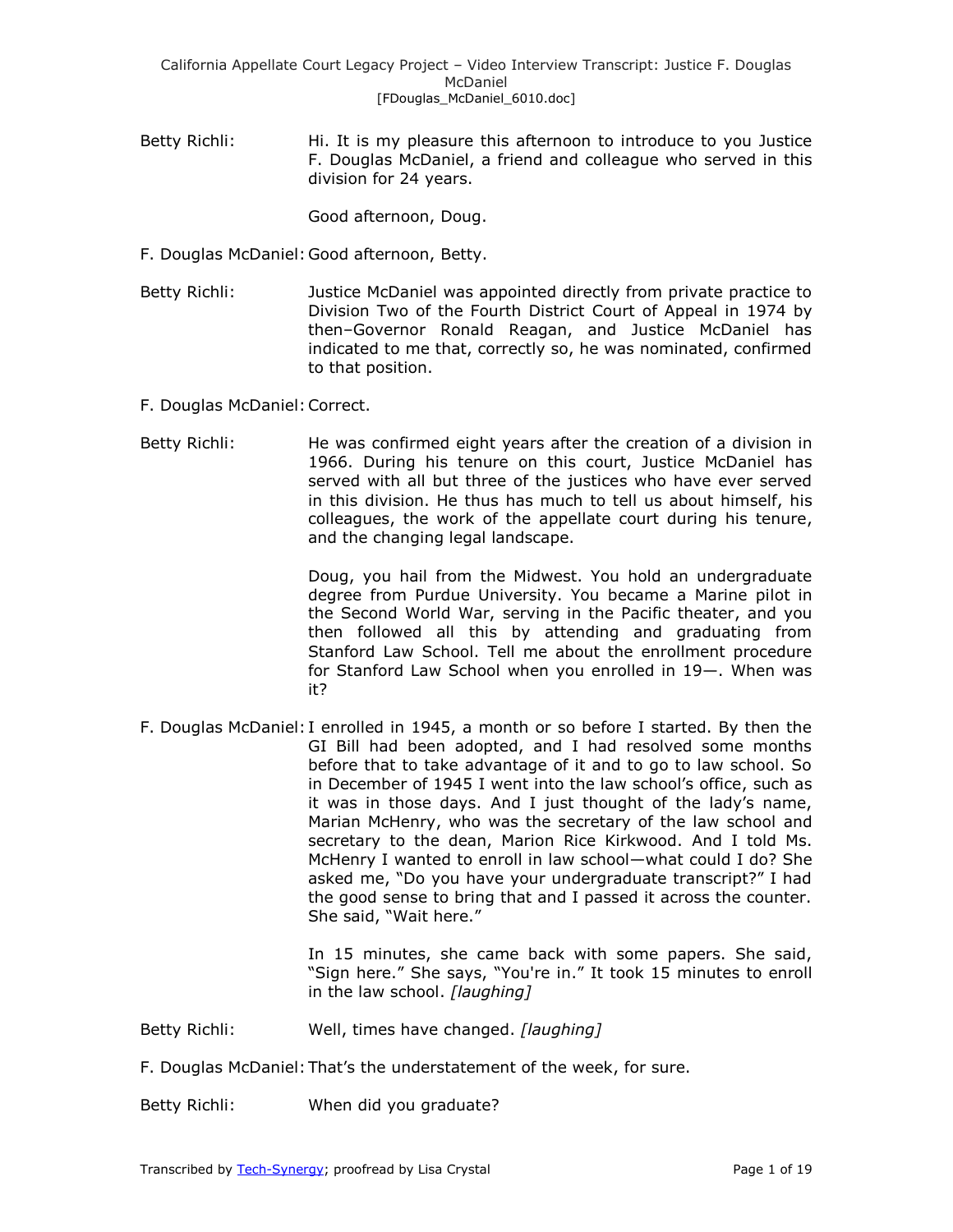Betty Richli: Hi. It is my pleasure this afternoon to introduce to you Justice F. Douglas McDaniel, a friend and colleague who served in this division for 24 years.

Good afternoon, Doug.

- F. Douglas McDaniel:Good afternoon, Betty.
- Betty Richli: Justice McDaniel was appointed directly from private practice to Division Two of the Fourth District Court of Appeal in 1974 by then–Governor Ronald Reagan, and Justice McDaniel has indicated to me that, correctly so, he was nominated, confirmed to that position.
- F. Douglas McDaniel:Correct.
- Betty Richli: He was confirmed eight years after the creation of a division in 1966. During his tenure on this court, Justice McDaniel has served with all but three of the justices who have ever served in this division. He thus has much to tell us about himself, his colleagues, the work of the appellate court during his tenure, and the changing legal landscape.

Doug, you hail from the Midwest. You hold an undergraduate degree from Purdue University. You became a Marine pilot in the Second World War, serving in the Pacific theater, and you then followed all this by attending and graduating from Stanford Law School. Tell me about the enrollment procedure for Stanford Law School when you enrolled in 19—. When was it?

F. Douglas McDaniel: I enrolled in 1945, a month or so before I started. By then the GI Bill had been adopted, and I had resolved some months before that to take advantage of it and to go to law school. So in December of 1945 I went into the law school's office, such as it was in those days. And I just thought of the lady's name, Marian McHenry, who was the secretary of the law school and secretary to the dean, Marion Rice Kirkwood. And I told Ms. McHenry I wanted to enroll in law school—what could I do? She asked me, "Do you have your undergraduate transcript?" I had the good sense to bring that and I passed it across the counter. She said, "Wait here."

> In 15 minutes, she came back with some papers. She said, "Sign here." She says, "You're in." It took 15 minutes to enroll in the law school. *[laughing]*

- Betty Richli: Well, times have changed. *[laughing]*
- F. Douglas McDaniel:That's the understatement of the week, for sure.

Betty Richli: When did you graduate?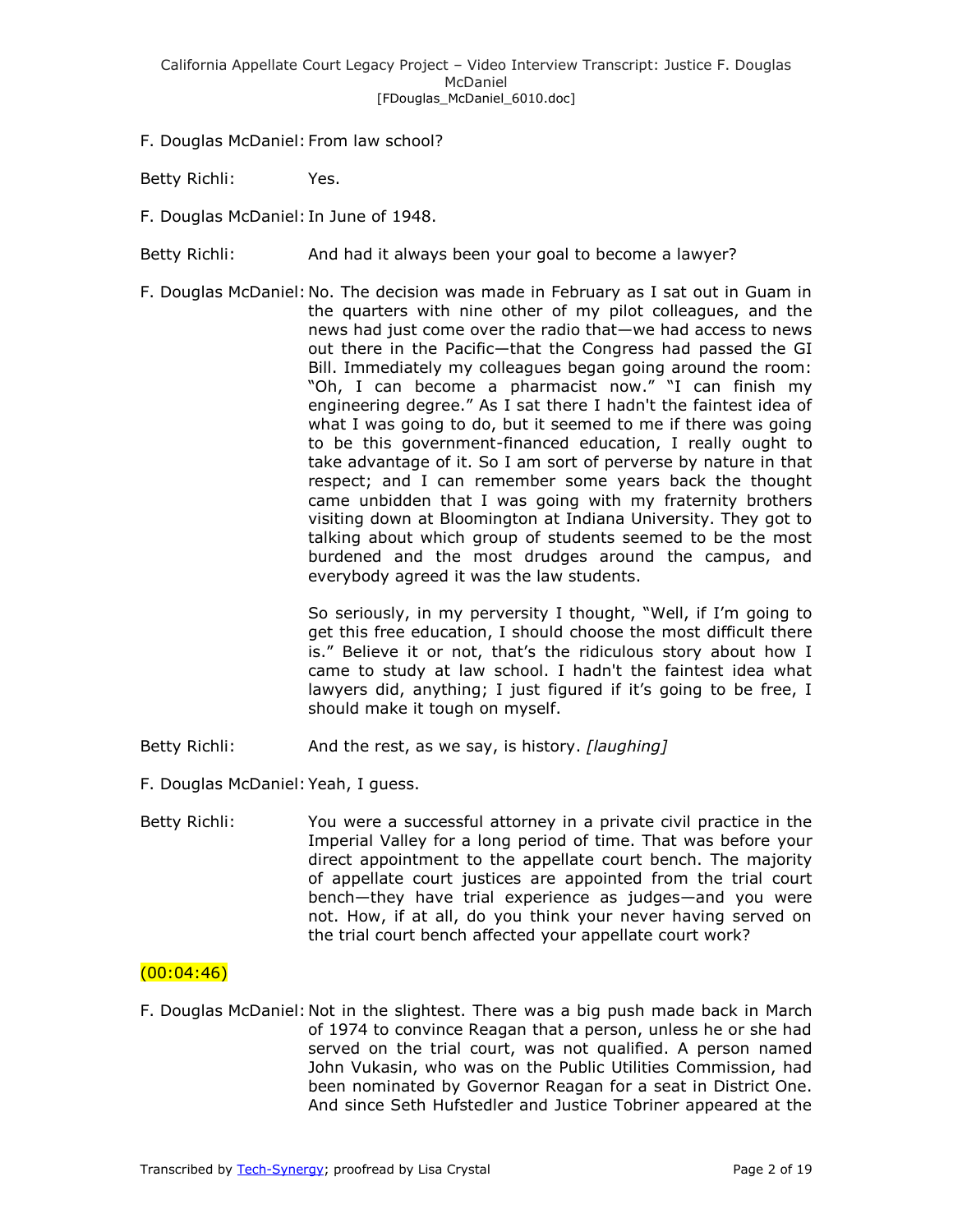F. Douglas McDaniel: From law school?

Betty Richli: Yes.

- F. Douglas McDaniel: In June of 1948.
- Betty Richli: And had it always been your goal to become a lawyer?
- F. Douglas McDaniel:No. The decision was made in February as I sat out in Guam in the quarters with nine other of my pilot colleagues, and the news had just come over the radio that—we had access to news out there in the Pacific—that the Congress had passed the GI Bill. Immediately my colleagues began going around the room: "Oh, I can become a pharmacist now." "I can finish my engineering degree." As I sat there I hadn't the faintest idea of what I was going to do, but it seemed to me if there was going to be this government-financed education, I really ought to take advantage of it. So I am sort of perverse by nature in that respect; and I can remember some years back the thought came unbidden that I was going with my fraternity brothers visiting down at Bloomington at Indiana University. They got to talking about which group of students seemed to be the most burdened and the most drudges around the campus, and everybody agreed it was the law students.

So seriously, in my perversity I thought, "Well, if I'm going to get this free education, I should choose the most difficult there is." Believe it or not, that's the ridiculous story about how I came to study at law school. I hadn't the faintest idea what lawyers did, anything; I just figured if it's going to be free, I should make it tough on myself.

- Betty Richli: And the rest, as we say, is history. *[laughing]*
- F. Douglas McDaniel:Yeah, I guess.
- Betty Richli: You were a successful attorney in a private civil practice in the Imperial Valley for a long period of time. That was before your direct appointment to the appellate court bench. The majority of appellate court justices are appointed from the trial court bench—they have trial experience as judges—and you were not. How, if at all, do you think your never having served on the trial court bench affected your appellate court work?

### $(00:04:46)$

F. Douglas McDaniel:Not in the slightest. There was a big push made back in March of 1974 to convince Reagan that a person, unless he or she had served on the trial court, was not qualified. A person named John Vukasin, who was on the Public Utilities Commission, had been nominated by Governor Reagan for a seat in District One. And since Seth Hufstedler and Justice Tobriner appeared at the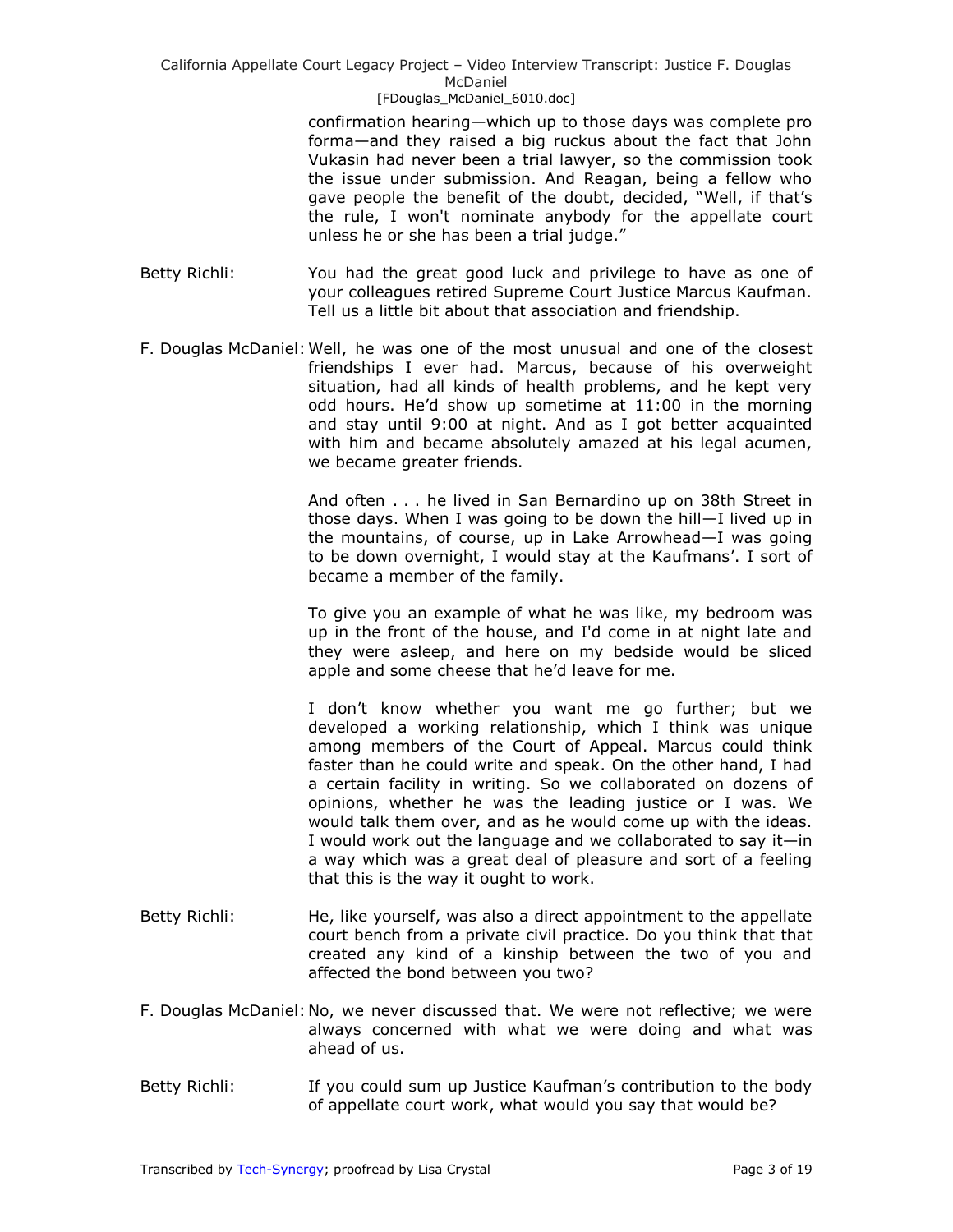confirmation hearing—which up to those days was complete pro forma—and they raised a big ruckus about the fact that John Vukasin had never been a trial lawyer, so the commission took the issue under submission. And Reagan, being a fellow who gave people the benefit of the doubt, decided, "Well, if that's the rule, I won't nominate anybody for the appellate court unless he or she has been a trial judge."

- Betty Richli: You had the great good luck and privilege to have as one of your colleagues retired Supreme Court Justice Marcus Kaufman. Tell us a little bit about that association and friendship.
- F. Douglas McDaniel:Well, he was one of the most unusual and one of the closest friendships I ever had. Marcus, because of his overweight situation, had all kinds of health problems, and he kept very odd hours. He'd show up sometime at 11:00 in the morning and stay until 9:00 at night. And as I got better acquainted with him and became absolutely amazed at his legal acumen, we became greater friends.

And often . . . he lived in San Bernardino up on 38th Street in those days. When I was going to be down the hill—I lived up in the mountains, of course, up in Lake Arrowhead—I was going to be down overnight, I would stay at the Kaufmans'. I sort of became a member of the family.

To give you an example of what he was like, my bedroom was up in the front of the house, and I'd come in at night late and they were asleep, and here on my bedside would be sliced apple and some cheese that he'd leave for me.

I don't know whether you want me go further; but we developed a working relationship, which I think was unique among members of the Court of Appeal. Marcus could think faster than he could write and speak. On the other hand, I had a certain facility in writing. So we collaborated on dozens of opinions, whether he was the leading justice or I was. We would talk them over, and as he would come up with the ideas. I would work out the language and we collaborated to say it—in a way which was a great deal of pleasure and sort of a feeling that this is the way it ought to work.

- Betty Richli: He, like yourself, was also a direct appointment to the appellate court bench from a private civil practice. Do you think that that created any kind of a kinship between the two of you and affected the bond between you two?
- F. Douglas McDaniel:No, we never discussed that. We were not reflective; we were always concerned with what we were doing and what was ahead of us.
- Betty Richli: If you could sum up Justice Kaufman's contribution to the body of appellate court work, what would you say that would be?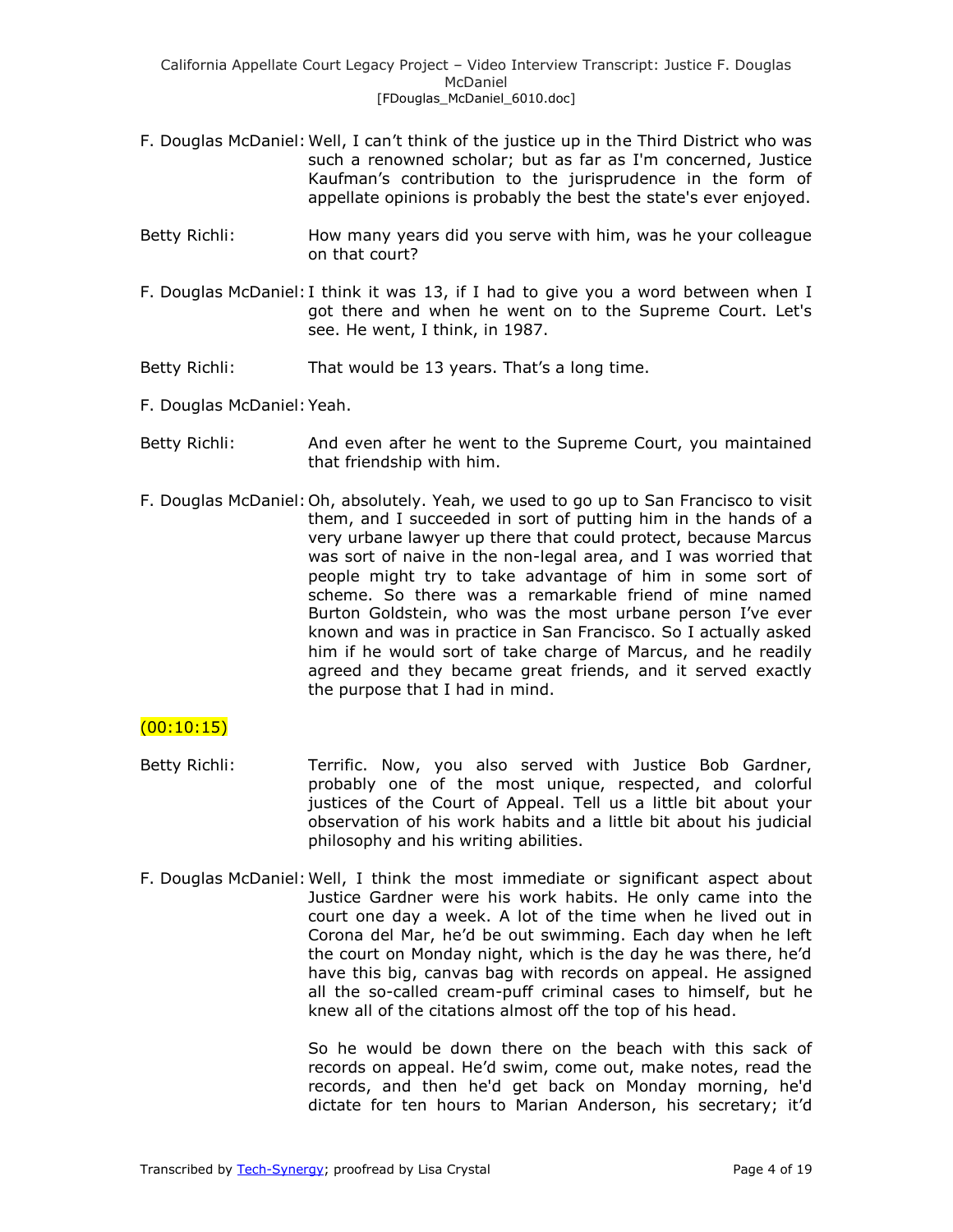- F. Douglas McDaniel:Well, I can't think of the justice up in the Third District who was such a renowned scholar; but as far as I'm concerned, Justice Kaufman's contribution to the jurisprudence in the form of appellate opinions is probably the best the state's ever enjoyed.
- Betty Richli: How many years did you serve with him, was he your colleague on that court?
- F. Douglas McDaniel: I think it was 13, if I had to give you a word between when I got there and when he went on to the Supreme Court. Let's see. He went, I think, in 1987.
- Betty Richli: That would be 13 years. That's a long time.
- F. Douglas McDaniel:Yeah.
- Betty Richli: And even after he went to the Supreme Court, you maintained that friendship with him.
- F. Douglas McDaniel:Oh, absolutely. Yeah, we used to go up to San Francisco to visit them, and I succeeded in sort of putting him in the hands of a very urbane lawyer up there that could protect, because Marcus was sort of naive in the non-legal area, and I was worried that people might try to take advantage of him in some sort of scheme. So there was a remarkable friend of mine named Burton Goldstein, who was the most urbane person I've ever known and was in practice in San Francisco. So I actually asked him if he would sort of take charge of Marcus, and he readily agreed and they became great friends, and it served exactly the purpose that I had in mind.

## $(00:10:15)$

- Betty Richli: Terrific. Now, you also served with Justice Bob Gardner, probably one of the most unique, respected, and colorful justices of the Court of Appeal. Tell us a little bit about your observation of his work habits and a little bit about his judicial philosophy and his writing abilities.
- F. Douglas McDaniel:Well, I think the most immediate or significant aspect about Justice Gardner were his work habits. He only came into the court one day a week. A lot of the time when he lived out in Corona del Mar, he'd be out swimming. Each day when he left the court on Monday night, which is the day he was there, he'd have this big, canvas bag with records on appeal. He assigned all the so-called cream-puff criminal cases to himself, but he knew all of the citations almost off the top of his head.

So he would be down there on the beach with this sack of records on appeal. He'd swim, come out, make notes, read the records, and then he'd get back on Monday morning, he'd dictate for ten hours to Marian Anderson, his secretary; it'd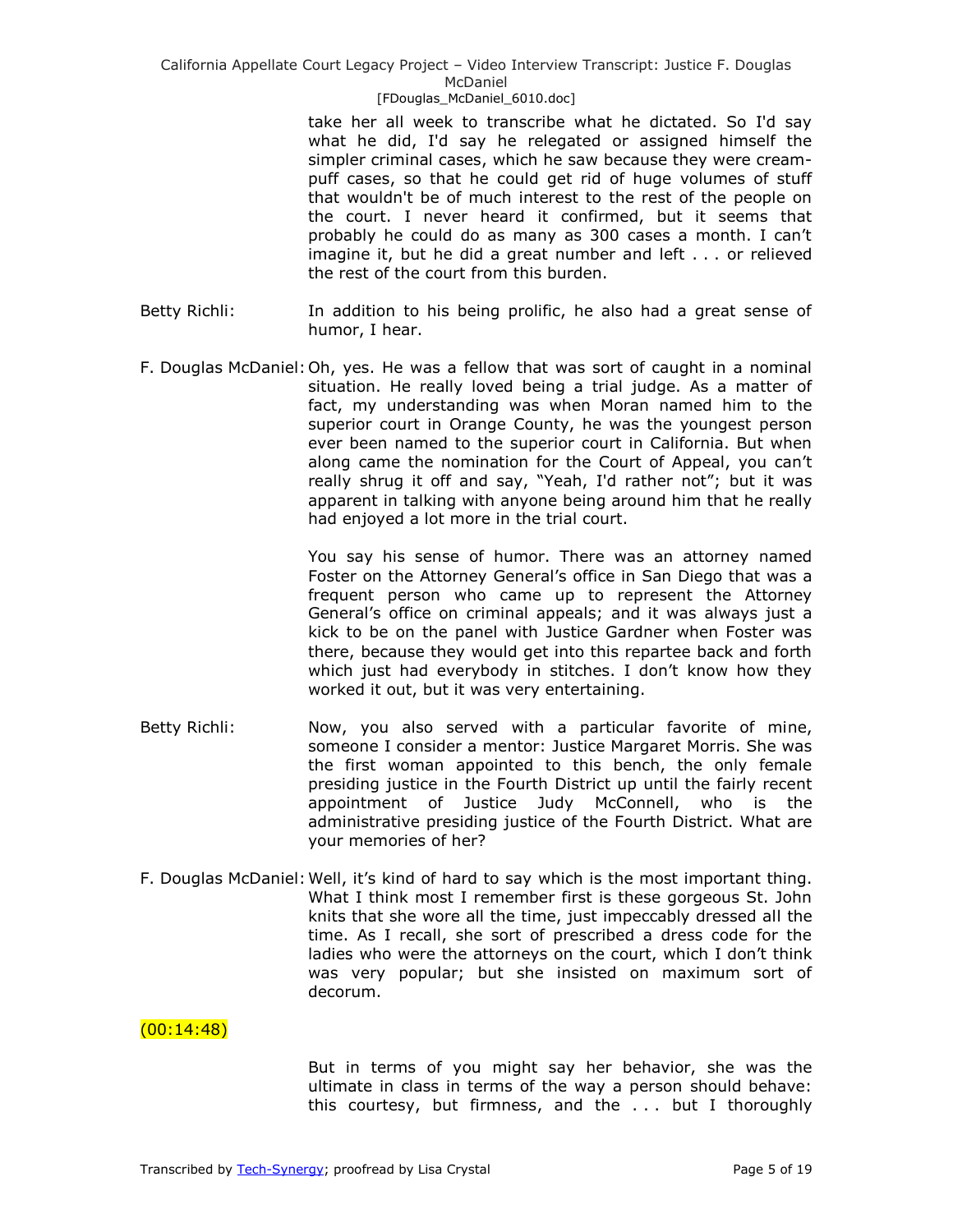take her all week to transcribe what he dictated. So I'd say what he did, I'd say he relegated or assigned himself the simpler criminal cases, which he saw because they were creampuff cases, so that he could get rid of huge volumes of stuff that wouldn't be of much interest to the rest of the people on the court. I never heard it confirmed, but it seems that probably he could do as many as 300 cases a month. I can't imagine it, but he did a great number and left . . . or relieved the rest of the court from this burden.

- Betty Richli: In addition to his being prolific, he also had a great sense of humor, I hear.
- F. Douglas McDaniel:Oh, yes. He was a fellow that was sort of caught in a nominal situation. He really loved being a trial judge. As a matter of fact, my understanding was when Moran named him to the superior court in Orange County, he was the youngest person ever been named to the superior court in California. But when along came the nomination for the Court of Appeal, you can't really shrug it off and say, "Yeah, I'd rather not"; but it was apparent in talking with anyone being around him that he really had enjoyed a lot more in the trial court.

You say his sense of humor. There was an attorney named Foster on the Attorney General's office in San Diego that was a frequent person who came up to represent the Attorney General's office on criminal appeals; and it was always just a kick to be on the panel with Justice Gardner when Foster was there, because they would get into this repartee back and forth which just had everybody in stitches. I don't know how they worked it out, but it was very entertaining.

- Betty Richli: Now, you also served with a particular favorite of mine, someone I consider a mentor: Justice Margaret Morris. She was the first woman appointed to this bench, the only female presiding justice in the Fourth District up until the fairly recent appointment of Justice Judy McConnell, who is the administrative presiding justice of the Fourth District. What are your memories of her?
- F. Douglas McDaniel:Well, it's kind of hard to say which is the most important thing. What I think most I remember first is these gorgeous St. John knits that she wore all the time, just impeccably dressed all the time. As I recall, she sort of prescribed a dress code for the ladies who were the attorneys on the court, which I don't think was very popular; but she insisted on maximum sort of decorum.

## $(00:14:48)$

But in terms of you might say her behavior, she was the ultimate in class in terms of the way a person should behave: this courtesy, but firmness, and the . . . but I thoroughly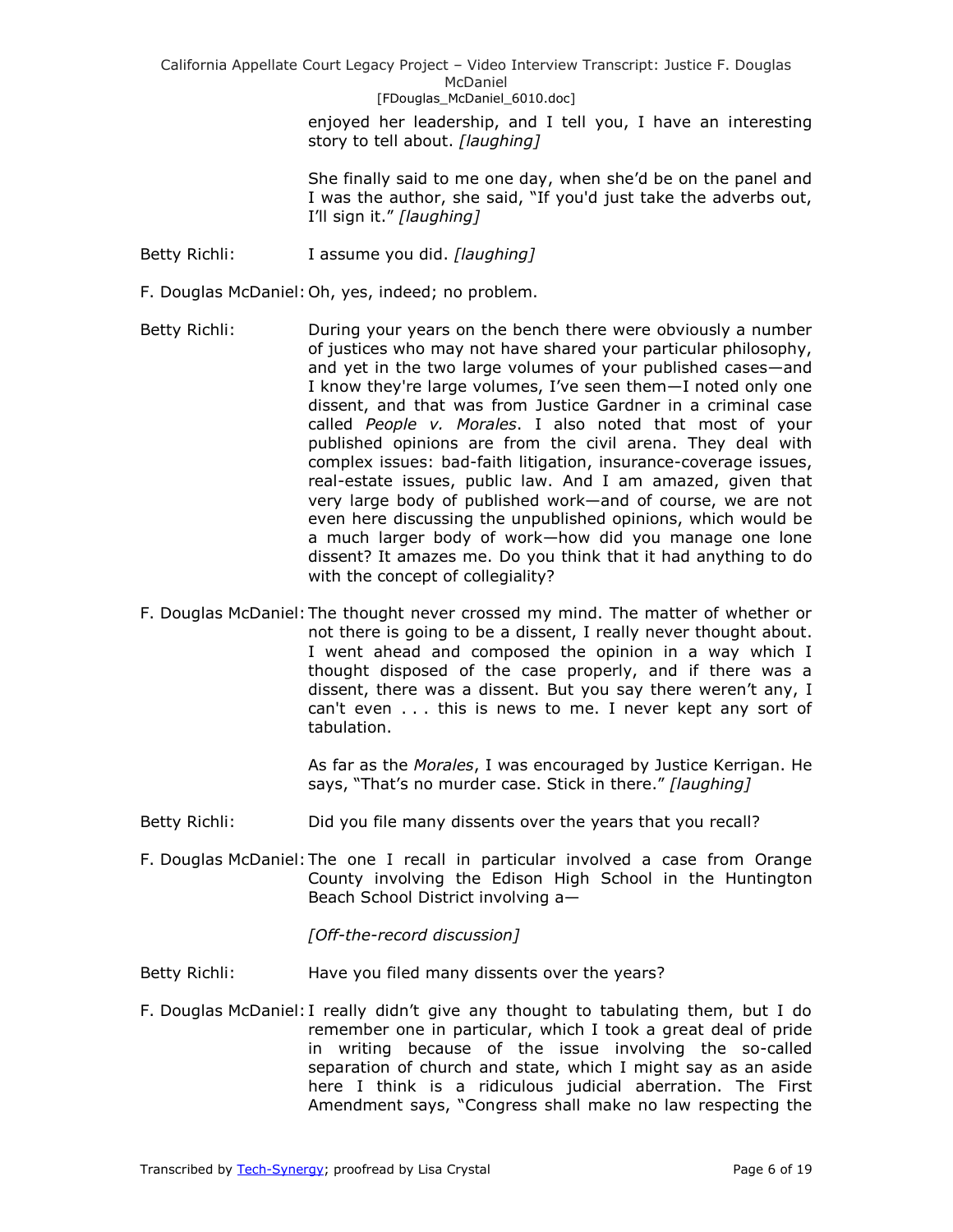> enjoyed her leadership, and I tell you, I have an interesting story to tell about. *[laughing]*

> She finally said to me one day, when she'd be on the panel and I was the author, she said, "If you'd just take the adverbs out, I'll sign it.‖ *[laughing]*

- Betty Richli: I assume you did. *[laughing]*
- F. Douglas McDaniel:Oh, yes, indeed; no problem.
- Betty Richli: During your years on the bench there were obviously a number of justices who may not have shared your particular philosophy, and yet in the two large volumes of your published cases—and I know they're large volumes, I've seen them—I noted only one dissent, and that was from Justice Gardner in a criminal case called *People v. Morales*. I also noted that most of your published opinions are from the civil arena. They deal with complex issues: bad-faith litigation, insurance-coverage issues, real-estate issues, public law. And I am amazed, given that very large body of published work—and of course, we are not even here discussing the unpublished opinions, which would be a much larger body of work—how did you manage one lone dissent? It amazes me. Do you think that it had anything to do with the concept of collegiality?
- F. Douglas McDaniel:The thought never crossed my mind. The matter of whether or not there is going to be a dissent, I really never thought about. I went ahead and composed the opinion in a way which I thought disposed of the case properly, and if there was a dissent, there was a dissent. But you say there weren't any, I can't even . . . this is news to me. I never kept any sort of tabulation.

As far as the *Morales*, I was encouraged by Justice Kerrigan. He says, "That's no murder case. Stick in there." [laughing]

- Betty Richli: Did you file many dissents over the years that you recall?
- F. Douglas McDaniel:The one I recall in particular involved a case from Orange County involving the Edison High School in the Huntington Beach School District involving a—

*[Off-the-record discussion]*

- Betty Richli: Have you filed many dissents over the years?
- F. Douglas McDaniel: I really didn't give any thought to tabulating them, but I do remember one in particular, which I took a great deal of pride in writing because of the issue involving the so-called separation of church and state, which I might say as an aside here I think is a ridiculous judicial aberration. The First Amendment says, "Congress shall make no law respecting the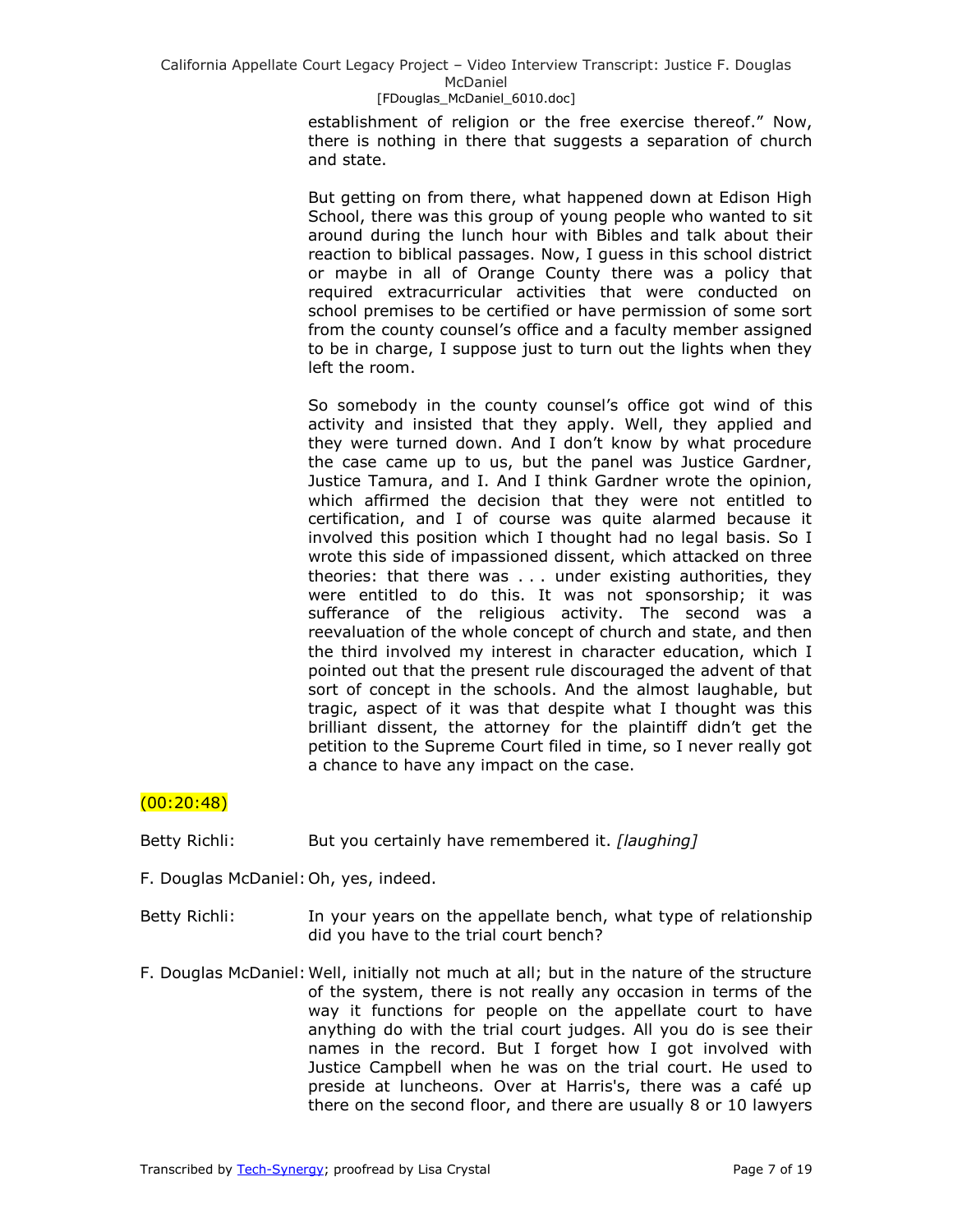establishment of religion or the free exercise thereof." Now, there is nothing in there that suggests a separation of church and state.

But getting on from there, what happened down at Edison High School, there was this group of young people who wanted to sit around during the lunch hour with Bibles and talk about their reaction to biblical passages. Now, I guess in this school district or maybe in all of Orange County there was a policy that required extracurricular activities that were conducted on school premises to be certified or have permission of some sort from the county counsel's office and a faculty member assigned to be in charge, I suppose just to turn out the lights when they left the room.

So somebody in the county counsel's office got wind of this activity and insisted that they apply. Well, they applied and they were turned down. And I don't know by what procedure the case came up to us, but the panel was Justice Gardner, Justice Tamura, and I. And I think Gardner wrote the opinion, which affirmed the decision that they were not entitled to certification, and I of course was quite alarmed because it involved this position which I thought had no legal basis. So I wrote this side of impassioned dissent, which attacked on three theories: that there was . . . under existing authorities, they were entitled to do this. It was not sponsorship; it was sufferance of the religious activity. The second was a reevaluation of the whole concept of church and state, and then the third involved my interest in character education, which I pointed out that the present rule discouraged the advent of that sort of concept in the schools. And the almost laughable, but tragic, aspect of it was that despite what I thought was this brilliant dissent, the attorney for the plaintiff didn't get the petition to the Supreme Court filed in time, so I never really got a chance to have any impact on the case.

# (00:20:48)

Betty Richli: But you certainly have remembered it. *[laughing]*

- F. Douglas McDaniel:Oh, yes, indeed.
- Betty Richli: In your years on the appellate bench, what type of relationship did you have to the trial court bench?
- F. Douglas McDaniel:Well, initially not much at all; but in the nature of the structure of the system, there is not really any occasion in terms of the way it functions for people on the appellate court to have anything do with the trial court judges. All you do is see their names in the record. But I forget how I got involved with Justice Campbell when he was on the trial court. He used to preside at luncheons. Over at Harris's, there was a café up there on the second floor, and there are usually 8 or 10 lawyers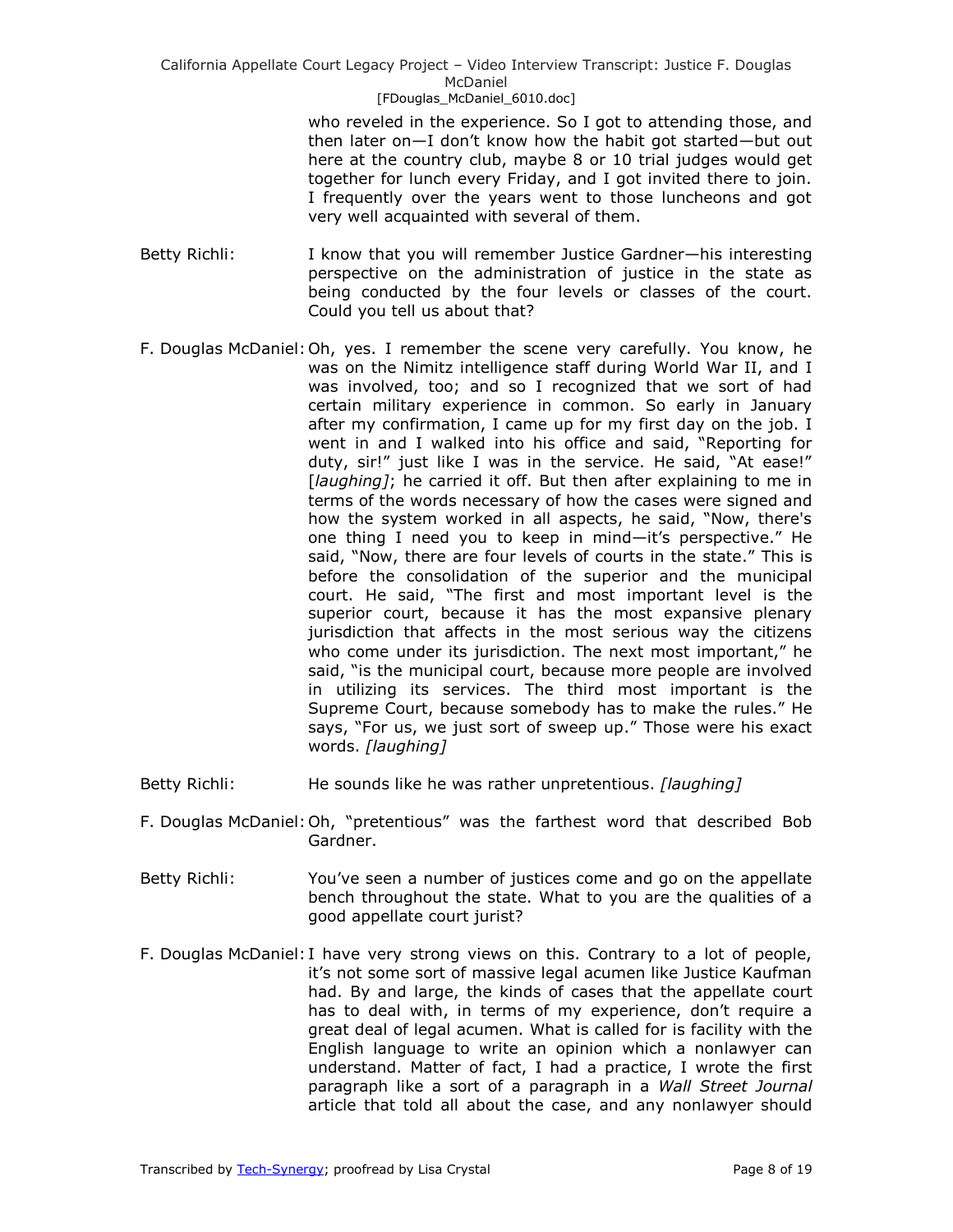who reveled in the experience. So I got to attending those, and then later on—I don't know how the habit got started—but out here at the country club, maybe 8 or 10 trial judges would get together for lunch every Friday, and I got invited there to join. I frequently over the years went to those luncheons and got very well acquainted with several of them.

- Betty Richli: I know that you will remember Justice Gardner—his interesting perspective on the administration of justice in the state as being conducted by the four levels or classes of the court. Could you tell us about that?
- F. Douglas McDaniel:Oh, yes. I remember the scene very carefully. You know, he was on the Nimitz intelligence staff during World War II, and I was involved, too; and so I recognized that we sort of had certain military experience in common. So early in January after my confirmation, I came up for my first day on the job. I went in and I walked into his office and said, "Reporting for duty, sir!" just like I was in the service. He said, "At ease!" [*laughing]*; he carried it off. But then after explaining to me in terms of the words necessary of how the cases were signed and how the system worked in all aspects, he said, "Now, there's one thing I need you to keep in mind-it's perspective." He said, "Now, there are four levels of courts in the state." This is before the consolidation of the superior and the municipal court. He said, "The first and most important level is the superior court, because it has the most expansive plenary jurisdiction that affects in the most serious way the citizens who come under its jurisdiction. The next most important," he said, "is the municipal court, because more people are involved in utilizing its services. The third most important is the Supreme Court, because somebody has to make the rules." He says, "For us, we just sort of sweep up." Those were his exact words. *[laughing]*
- Betty Richli: He sounds like he was rather unpretentious. *[laughing]*
- F. Douglas McDaniel: Oh, "pretentious" was the farthest word that described Bob Gardner.
- Betty Richli: You've seen a number of justices come and go on the appellate bench throughout the state. What to you are the qualities of a good appellate court jurist?
- F. Douglas McDaniel: I have very strong views on this. Contrary to a lot of people, it's not some sort of massive legal acumen like Justice Kaufman had. By and large, the kinds of cases that the appellate court has to deal with, in terms of my experience, don't require a great deal of legal acumen. What is called for is facility with the English language to write an opinion which a nonlawyer can understand. Matter of fact, I had a practice, I wrote the first paragraph like a sort of a paragraph in a *Wall Street Journal* article that told all about the case, and any nonlawyer should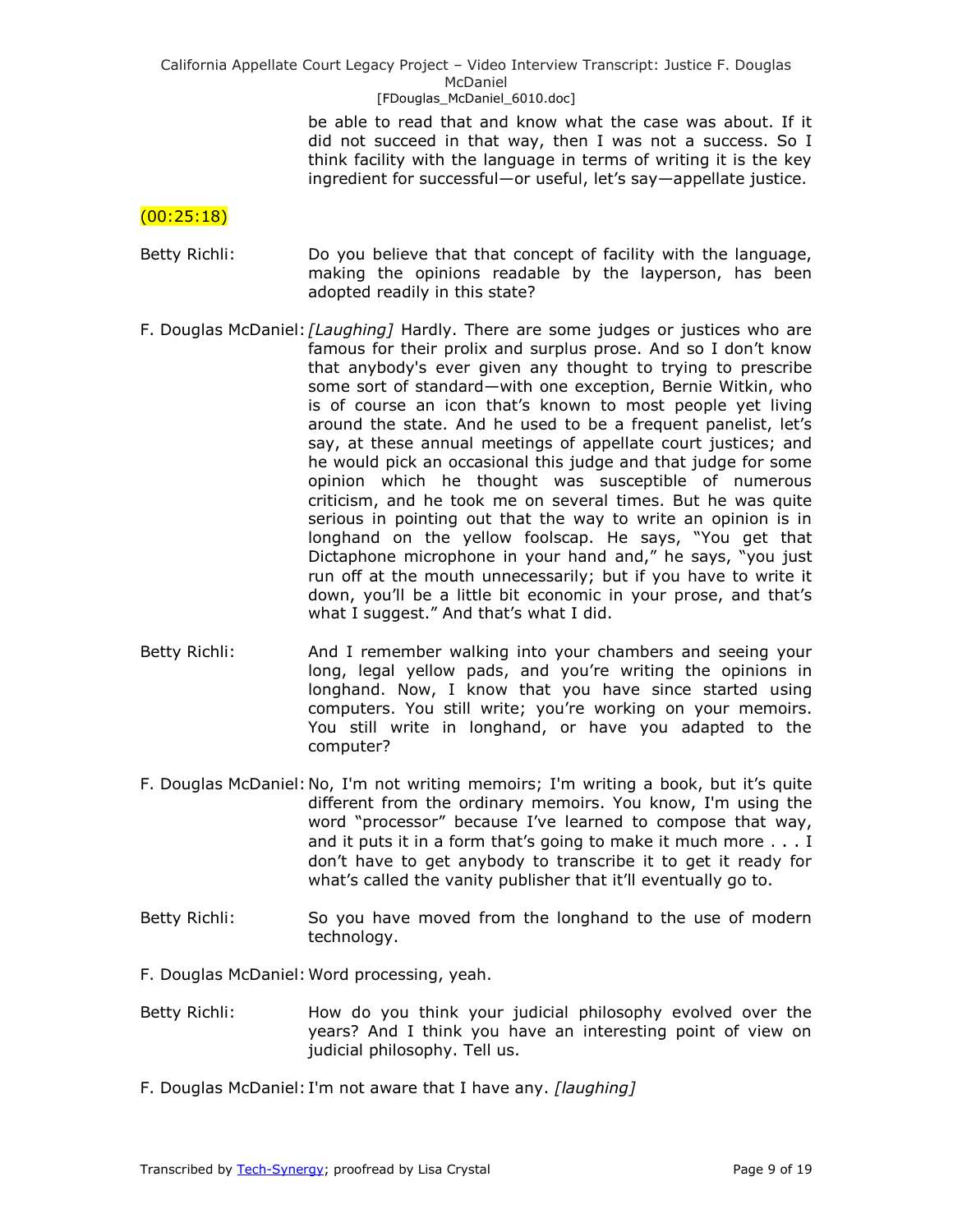be able to read that and know what the case was about. If it did not succeed in that way, then I was not a success. So I think facility with the language in terms of writing it is the key ingredient for successful—or useful, let's say—appellate justice.

## $(00:25:18)$

- Betty Richli: Do you believe that that concept of facility with the language, making the opinions readable by the layperson, has been adopted readily in this state?
- F. Douglas McDaniel: *[Laughing]* Hardly. There are some judges or justices who are famous for their prolix and surplus prose. And so I don't know that anybody's ever given any thought to trying to prescribe some sort of standard—with one exception, Bernie Witkin, who is of course an icon that's known to most people yet living around the state. And he used to be a frequent panelist, let's say, at these annual meetings of appellate court justices; and he would pick an occasional this judge and that judge for some opinion which he thought was susceptible of numerous criticism, and he took me on several times. But he was quite serious in pointing out that the way to write an opinion is in longhand on the yellow foolscap. He says, "You get that Dictaphone microphone in your hand and," he says, "you just run off at the mouth unnecessarily; but if you have to write it down, you'll be a little bit economic in your prose, and that's what I suggest." And that's what I did.
- Betty Richli: And I remember walking into your chambers and seeing your long, legal yellow pads, and you're writing the opinions in longhand. Now, I know that you have since started using computers. You still write; you're working on your memoirs. You still write in longhand, or have you adapted to the computer?
- F. Douglas McDaniel:No, I'm not writing memoirs; I'm writing a book, but it's quite different from the ordinary memoirs. You know, I'm using the word "processor" because I've learned to compose that way, and it puts it in a form that's going to make it much more . . . I don't have to get anybody to transcribe it to get it ready for what's called the vanity publisher that it'll eventually go to.
- Betty Richli: So you have moved from the longhand to the use of modern technology.
- F. Douglas McDaniel:Word processing, yeah.
- Betty Richli: How do you think your judicial philosophy evolved over the years? And I think you have an interesting point of view on judicial philosophy. Tell us.
- F. Douglas McDaniel: I'm not aware that I have any. *[laughing]*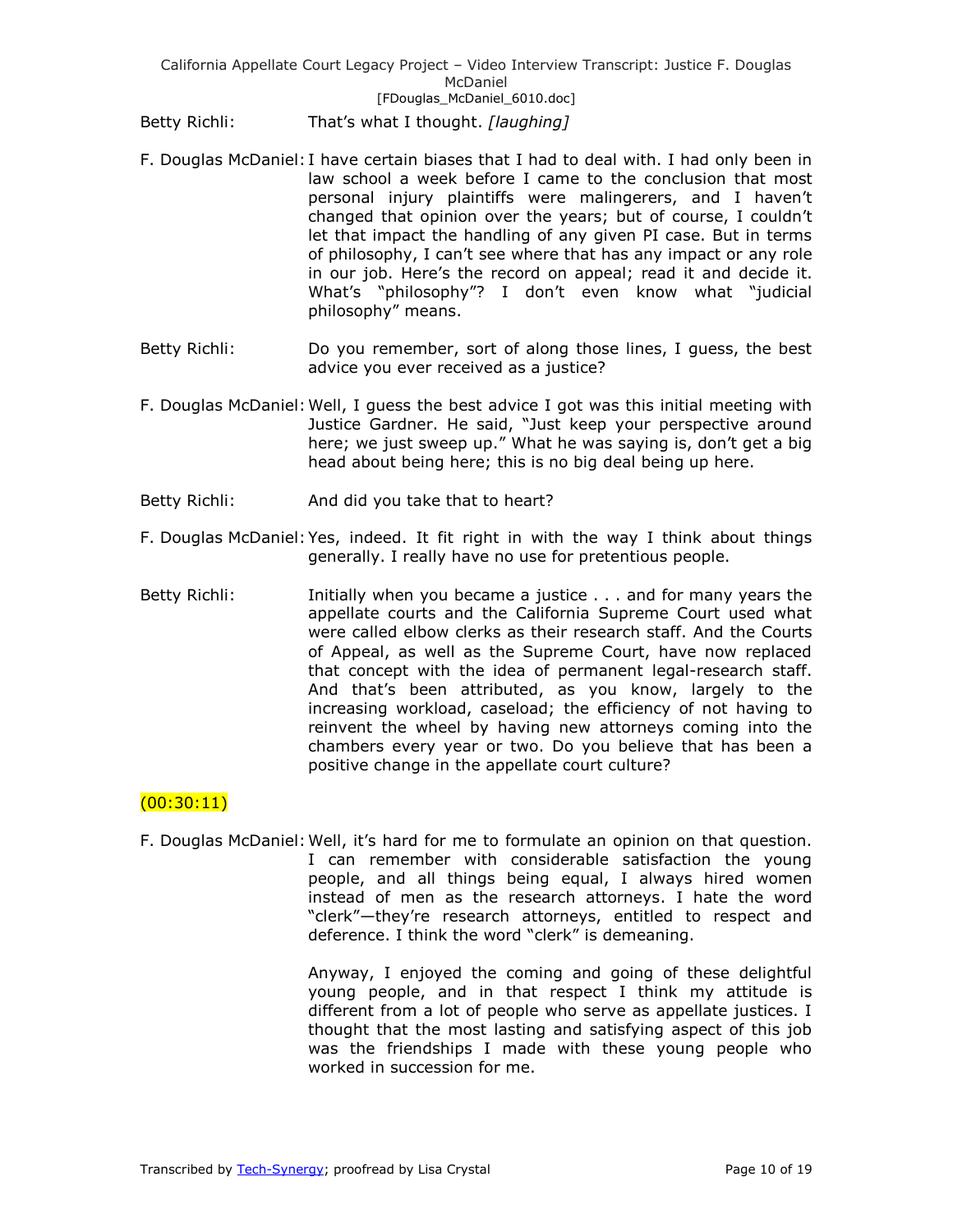Betty Richli: That's what I thought. *[laughing]*

- F. Douglas McDaniel: I have certain biases that I had to deal with. I had only been in law school a week before I came to the conclusion that most personal injury plaintiffs were malingerers, and I haven't changed that opinion over the years; but of course, I couldn't let that impact the handling of any given PI case. But in terms of philosophy, I can't see where that has any impact or any role in our job. Here's the record on appeal; read it and decide it. What's "philosophy"? I don't even know what "judicial philosophy" means.
- Betty Richli: Do you remember, sort of along those lines, I guess, the best advice you ever received as a justice?
- F. Douglas McDaniel:Well, I guess the best advice I got was this initial meeting with Justice Gardner. He said, "Just keep your perspective around here; we just sweep up." What he was saying is, don't get a big head about being here; this is no big deal being up here.
- Betty Richli: And did you take that to heart?
- F. Douglas McDaniel:Yes, indeed. It fit right in with the way I think about things generally. I really have no use for pretentious people.
- Betty Richli: Initially when you became a justice . . . and for many years the appellate courts and the California Supreme Court used what were called elbow clerks as their research staff. And the Courts of Appeal, as well as the Supreme Court, have now replaced that concept with the idea of permanent legal-research staff. And that's been attributed, as you know, largely to the increasing workload, caseload; the efficiency of not having to reinvent the wheel by having new attorneys coming into the chambers every year or two. Do you believe that has been a positive change in the appellate court culture?

# $(00:30:11)$

F. Douglas McDaniel:Well, it's hard for me to formulate an opinion on that question. I can remember with considerable satisfaction the young people, and all things being equal, I always hired women instead of men as the research attorneys. I hate the word "clerk"—they're research attorneys, entitled to respect and deference. I think the word "clerk" is demeaning.

> Anyway, I enjoyed the coming and going of these delightful young people, and in that respect I think my attitude is different from a lot of people who serve as appellate justices. I thought that the most lasting and satisfying aspect of this job was the friendships I made with these young people who worked in succession for me.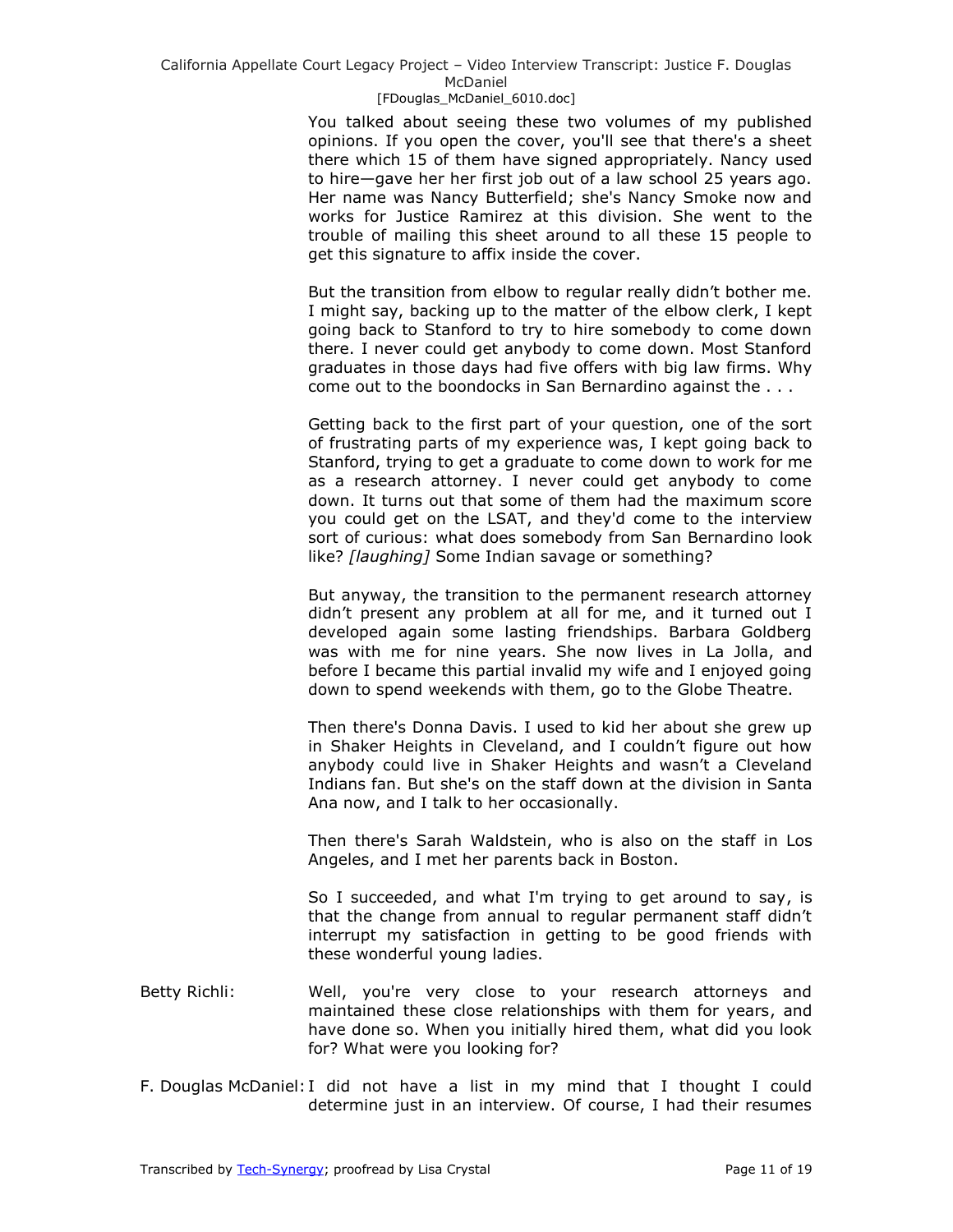You talked about seeing these two volumes of my published opinions. If you open the cover, you'll see that there's a sheet there which 15 of them have signed appropriately. Nancy used to hire—gave her her first job out of a law school 25 years ago. Her name was Nancy Butterfield; she's Nancy Smoke now and works for Justice Ramirez at this division. She went to the trouble of mailing this sheet around to all these 15 people to get this signature to affix inside the cover.

But the transition from elbow to regular really didn't bother me. I might say, backing up to the matter of the elbow clerk, I kept going back to Stanford to try to hire somebody to come down there. I never could get anybody to come down. Most Stanford graduates in those days had five offers with big law firms. Why come out to the boondocks in San Bernardino against the . . .

Getting back to the first part of your question, one of the sort of frustrating parts of my experience was, I kept going back to Stanford, trying to get a graduate to come down to work for me as a research attorney. I never could get anybody to come down. It turns out that some of them had the maximum score you could get on the LSAT, and they'd come to the interview sort of curious: what does somebody from San Bernardino look like? *[laughing]* Some Indian savage or something?

But anyway, the transition to the permanent research attorney didn't present any problem at all for me, and it turned out I developed again some lasting friendships. Barbara Goldberg was with me for nine years. She now lives in La Jolla, and before I became this partial invalid my wife and I enjoyed going down to spend weekends with them, go to the Globe Theatre.

Then there's Donna Davis. I used to kid her about she grew up in Shaker Heights in Cleveland, and I couldn't figure out how anybody could live in Shaker Heights and wasn't a Cleveland Indians fan. But she's on the staff down at the division in Santa Ana now, and I talk to her occasionally.

Then there's Sarah Waldstein, who is also on the staff in Los Angeles, and I met her parents back in Boston.

So I succeeded, and what I'm trying to get around to say, is that the change from annual to regular permanent staff didn't interrupt my satisfaction in getting to be good friends with these wonderful young ladies.

- Betty Richli: Well, you're very close to your research attorneys and maintained these close relationships with them for years, and have done so. When you initially hired them, what did you look for? What were you looking for?
- F. Douglas McDaniel: I did not have a list in my mind that I thought I could determine just in an interview. Of course, I had their resumes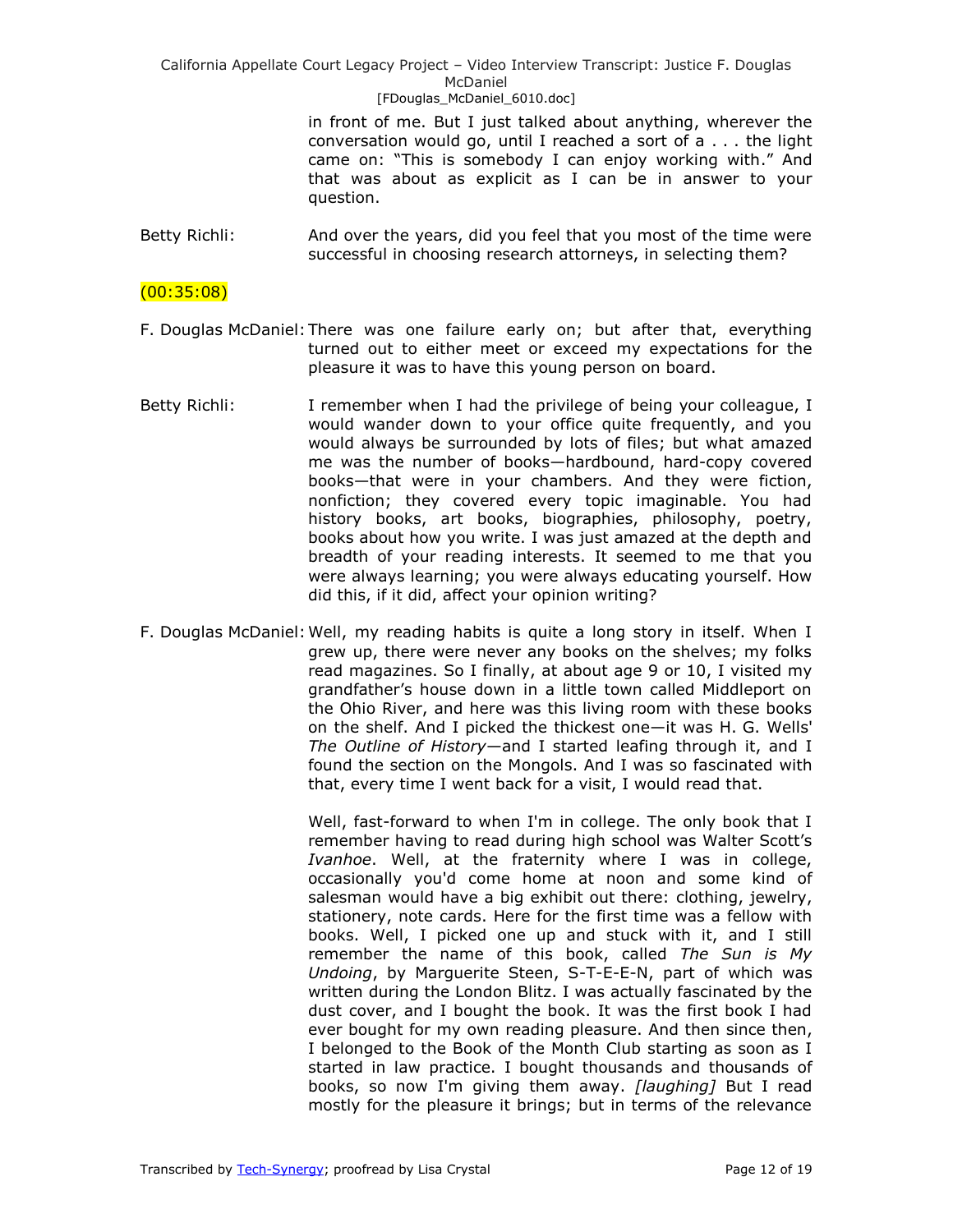> in front of me. But I just talked about anything, wherever the conversation would go, until I reached a sort of a . . . the light came on: "This is somebody I can enjoy working with." And that was about as explicit as I can be in answer to your question.

Betty Richli: And over the years, did you feel that you most of the time were successful in choosing research attorneys, in selecting them?

## $(00:35:08)$

- F. Douglas McDaniel:There was one failure early on; but after that, everything turned out to either meet or exceed my expectations for the pleasure it was to have this young person on board.
- Betty Richli: I remember when I had the privilege of being your colleague, I would wander down to your office quite frequently, and you would always be surrounded by lots of files; but what amazed me was the number of books—hardbound, hard-copy covered books—that were in your chambers. And they were fiction, nonfiction; they covered every topic imaginable. You had history books, art books, biographies, philosophy, poetry, books about how you write. I was just amazed at the depth and breadth of your reading interests. It seemed to me that you were always learning; you were always educating yourself. How did this, if it did, affect your opinion writing?
- F. Douglas McDaniel:Well, my reading habits is quite a long story in itself. When I grew up, there were never any books on the shelves; my folks read magazines. So I finally, at about age 9 or 10, I visited my grandfather's house down in a little town called Middleport on the Ohio River, and here was this living room with these books on the shelf. And I picked the thickest one—it was H. G. Wells' *The Outline of History*—and I started leafing through it, and I found the section on the Mongols. And I was so fascinated with that, every time I went back for a visit, I would read that.

Well, fast-forward to when I'm in college. The only book that I remember having to read during high school was Walter Scott's *Ivanhoe*. Well, at the fraternity where I was in college, occasionally you'd come home at noon and some kind of salesman would have a big exhibit out there: clothing, jewelry, stationery, note cards. Here for the first time was a fellow with books. Well, I picked one up and stuck with it, and I still remember the name of this book, called *The Sun is My Undoing*, by Marguerite Steen, S-T-E-E-N, part of which was written during the London Blitz. I was actually fascinated by the dust cover, and I bought the book. It was the first book I had ever bought for my own reading pleasure. And then since then, I belonged to the Book of the Month Club starting as soon as I started in law practice. I bought thousands and thousands of books, so now I'm giving them away. *[laughing]* But I read mostly for the pleasure it brings; but in terms of the relevance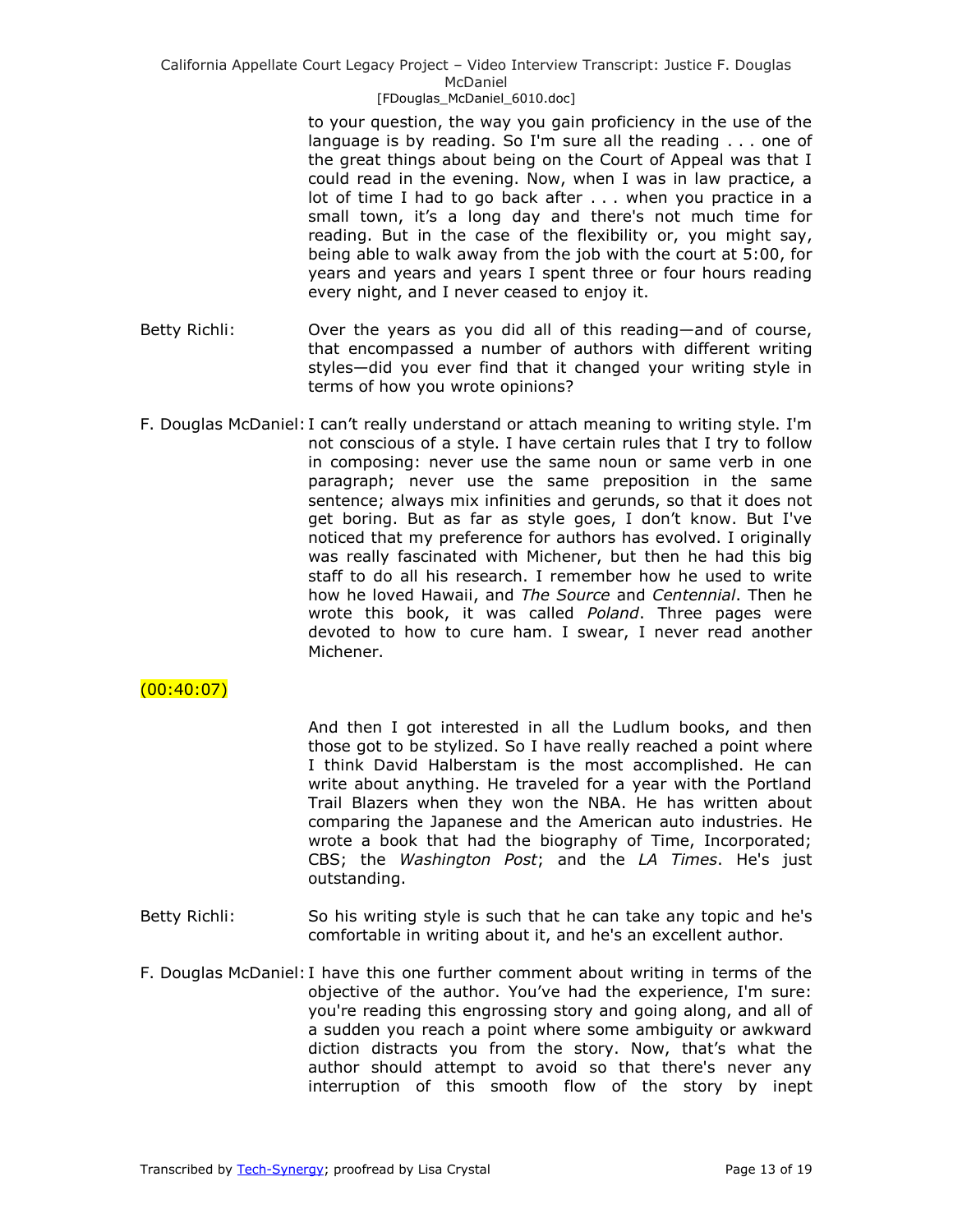to your question, the way you gain proficiency in the use of the language is by reading. So I'm sure all the reading . . . one of the great things about being on the Court of Appeal was that I could read in the evening. Now, when I was in law practice, a lot of time I had to go back after . . . when you practice in a small town, it's a long day and there's not much time for reading. But in the case of the flexibility or, you might say, being able to walk away from the job with the court at 5:00, for years and years and years I spent three or four hours reading every night, and I never ceased to enjoy it.

- Betty Richli: Over the years as you did all of this reading—and of course, that encompassed a number of authors with different writing styles—did you ever find that it changed your writing style in terms of how you wrote opinions?
- F. Douglas McDaniel: I can't really understand or attach meaning to writing style. I'm not conscious of a style. I have certain rules that I try to follow in composing: never use the same noun or same verb in one paragraph; never use the same preposition in the same sentence; always mix infinities and gerunds, so that it does not get boring. But as far as style goes, I don't know. But I've noticed that my preference for authors has evolved. I originally was really fascinated with Michener, but then he had this big staff to do all his research. I remember how he used to write how he loved Hawaii, and *The Source* and *Centennial*. Then he wrote this book, it was called *Poland*. Three pages were devoted to how to cure ham. I swear, I never read another Michener.

# $(00:40:07)$

And then I got interested in all the Ludlum books, and then those got to be stylized. So I have really reached a point where I think David Halberstam is the most accomplished. He can write about anything. He traveled for a year with the Portland Trail Blazers when they won the NBA. He has written about comparing the Japanese and the American auto industries. He wrote a book that had the biography of Time, Incorporated; CBS; the *Washington Post*; and the *LA Times*. He's just outstanding.

- Betty Richli: So his writing style is such that he can take any topic and he's comfortable in writing about it, and he's an excellent author.
- F. Douglas McDaniel: I have this one further comment about writing in terms of the objective of the author. You've had the experience, I'm sure: you're reading this engrossing story and going along, and all of a sudden you reach a point where some ambiguity or awkward diction distracts you from the story. Now, that's what the author should attempt to avoid so that there's never any interruption of this smooth flow of the story by inept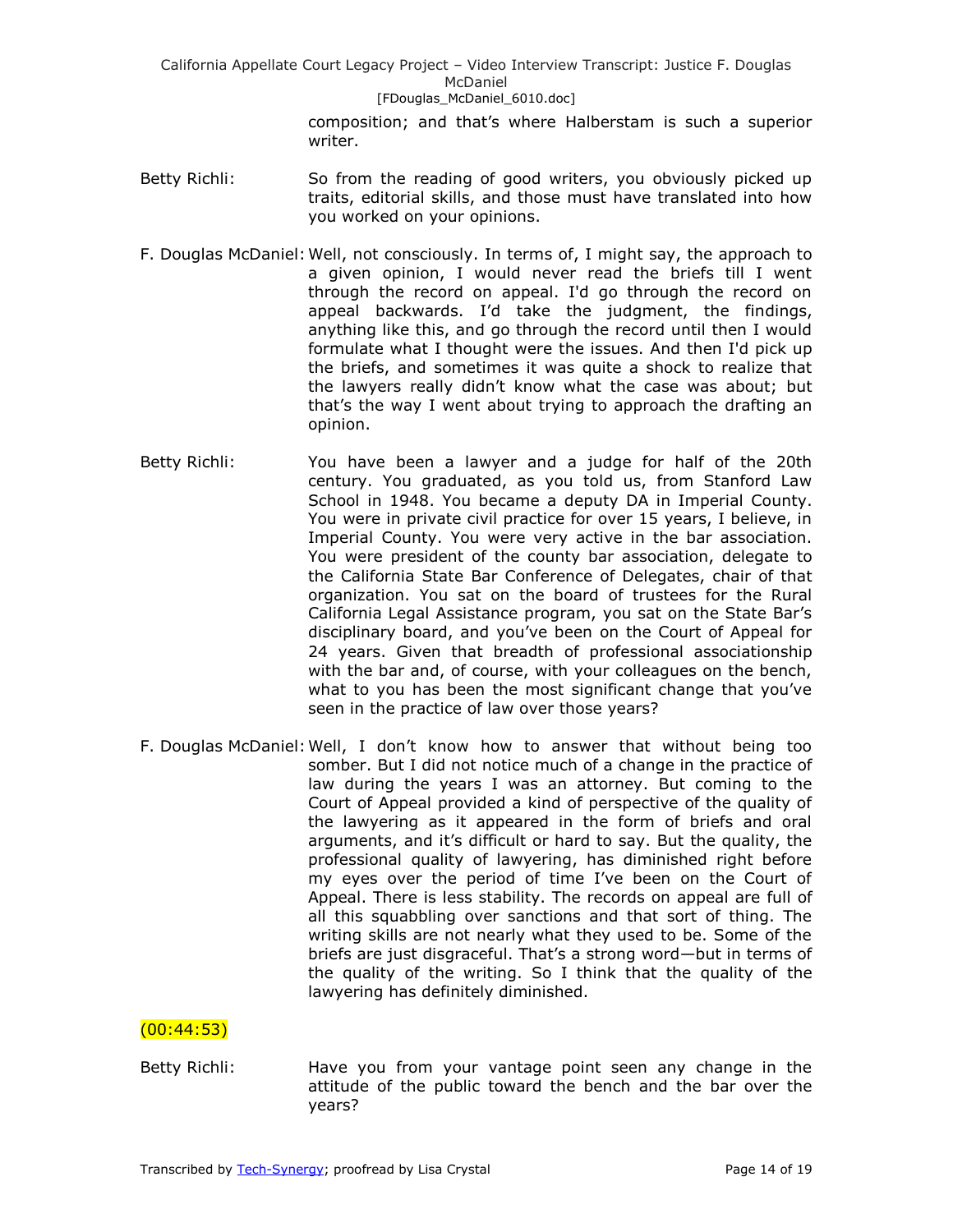> composition; and that's where Halberstam is such a superior writer.

- Betty Richli: So from the reading of good writers, you obviously picked up traits, editorial skills, and those must have translated into how you worked on your opinions.
- F. Douglas McDaniel:Well, not consciously. In terms of, I might say, the approach to a given opinion, I would never read the briefs till I went through the record on appeal. I'd go through the record on appeal backwards. I'd take the judgment, the findings, anything like this, and go through the record until then I would formulate what I thought were the issues. And then I'd pick up the briefs, and sometimes it was quite a shock to realize that the lawyers really didn't know what the case was about; but that's the way I went about trying to approach the drafting an opinion.
- Betty Richli: You have been a lawyer and a judge for half of the 20th century. You graduated, as you told us, from Stanford Law School in 1948. You became a deputy DA in Imperial County. You were in private civil practice for over 15 years, I believe, in Imperial County. You were very active in the bar association. You were president of the county bar association, delegate to the California State Bar Conference of Delegates, chair of that organization. You sat on the board of trustees for the Rural California Legal Assistance program, you sat on the State Bar's disciplinary board, and you've been on the Court of Appeal for 24 years. Given that breadth of professional associationship with the bar and, of course, with your colleagues on the bench, what to you has been the most significant change that you've seen in the practice of law over those years?
- F. Douglas McDaniel:Well, I don't know how to answer that without being too somber. But I did not notice much of a change in the practice of law during the years I was an attorney. But coming to the Court of Appeal provided a kind of perspective of the quality of the lawyering as it appeared in the form of briefs and oral arguments, and it's difficult or hard to say. But the quality, the professional quality of lawyering, has diminished right before my eyes over the period of time I've been on the Court of Appeal. There is less stability. The records on appeal are full of all this squabbling over sanctions and that sort of thing. The writing skills are not nearly what they used to be. Some of the briefs are just disgraceful. That's a strong word—but in terms of the quality of the writing. So I think that the quality of the lawyering has definitely diminished.

## $(00:44:53)$

Betty Richli: Have you from your vantage point seen any change in the attitude of the public toward the bench and the bar over the years?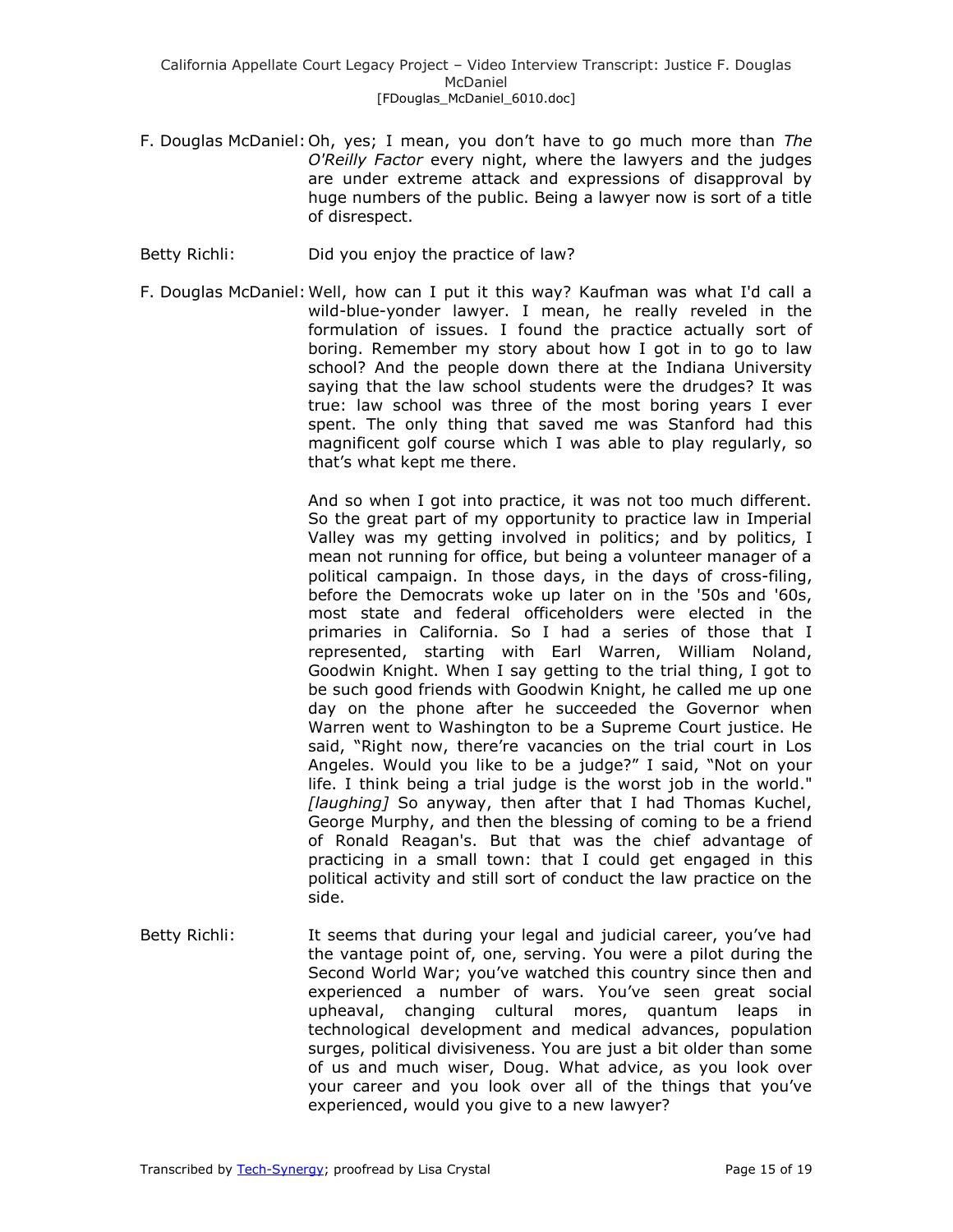- F. Douglas McDaniel:Oh, yes; I mean, you don't have to go much more than *The O'Reilly Factor* every night, where the lawyers and the judges are under extreme attack and expressions of disapproval by huge numbers of the public. Being a lawyer now is sort of a title of disrespect.
- Betty Richli: Did you enjoy the practice of law?
- F. Douglas McDaniel:Well, how can I put it this way? Kaufman was what I'd call a wild-blue-yonder lawyer. I mean, he really reveled in the formulation of issues. I found the practice actually sort of boring. Remember my story about how I got in to go to law school? And the people down there at the Indiana University saying that the law school students were the drudges? It was true: law school was three of the most boring years I ever spent. The only thing that saved me was Stanford had this magnificent golf course which I was able to play regularly, so that's what kept me there.

And so when I got into practice, it was not too much different. So the great part of my opportunity to practice law in Imperial Valley was my getting involved in politics; and by politics, I mean not running for office, but being a volunteer manager of a political campaign. In those days, in the days of cross-filing, before the Democrats woke up later on in the '50s and '60s, most state and federal officeholders were elected in the primaries in California. So I had a series of those that I represented, starting with Earl Warren, William Noland, Goodwin Knight. When I say getting to the trial thing, I got to be such good friends with Goodwin Knight, he called me up one day on the phone after he succeeded the Governor when Warren went to Washington to be a Supreme Court justice. He said, "Right now, there're vacancies on the trial court in Los Angeles. Would you like to be a judge?" I said, "Not on your life. I think being a trial judge is the worst job in the world." *[laughing]* So anyway, then after that I had Thomas Kuchel, George Murphy, and then the blessing of coming to be a friend of Ronald Reagan's. But that was the chief advantage of practicing in a small town: that I could get engaged in this political activity and still sort of conduct the law practice on the side.

Betty Richli: It seems that during your legal and judicial career, you've had the vantage point of, one, serving. You were a pilot during the Second World War; you've watched this country since then and experienced a number of wars. You've seen great social upheaval, changing cultural mores, quantum leaps in technological development and medical advances, population surges, political divisiveness. You are just a bit older than some of us and much wiser, Doug. What advice, as you look over your career and you look over all of the things that you've experienced, would you give to a new lawyer?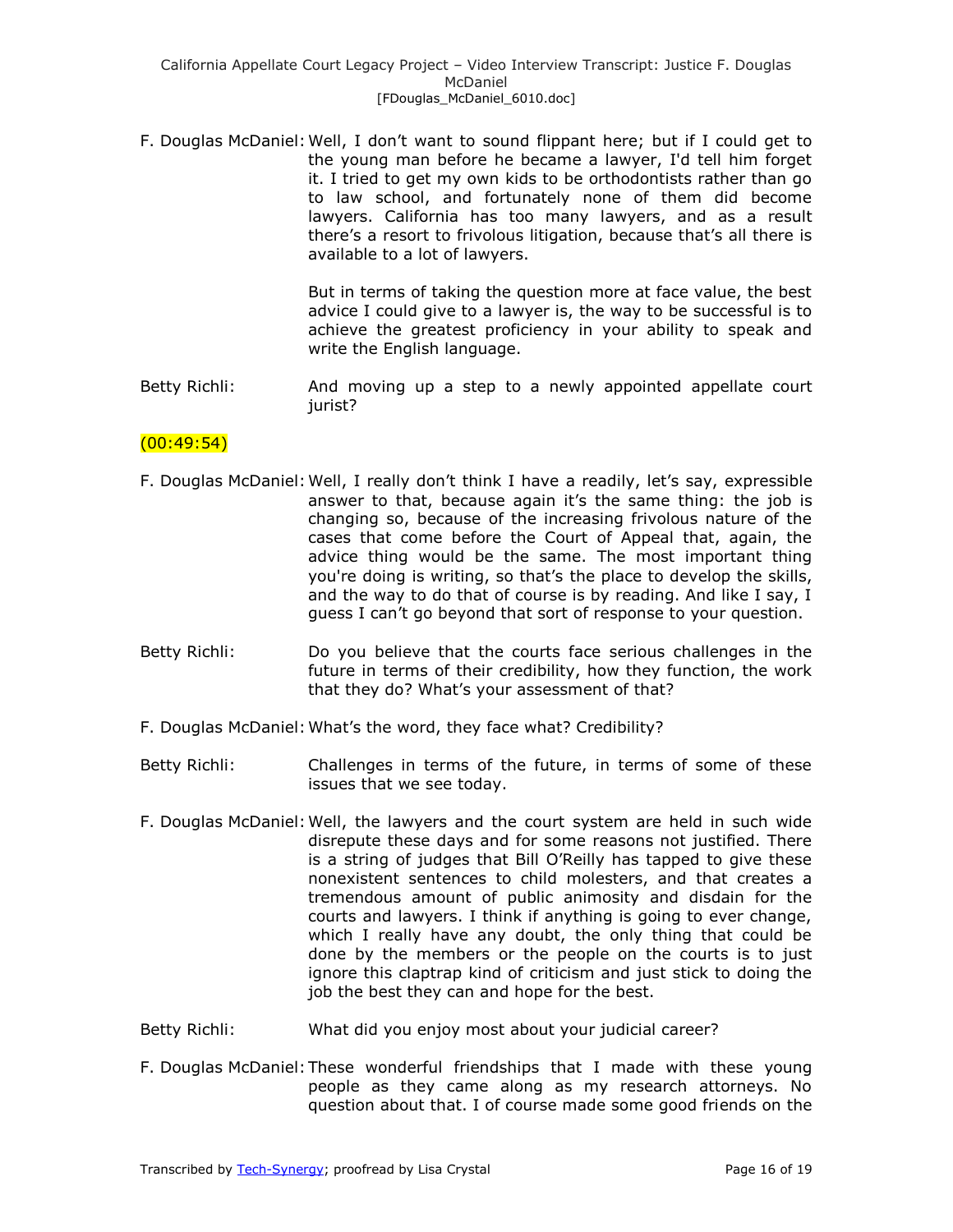F. Douglas McDaniel:Well, I don't want to sound flippant here; but if I could get to the young man before he became a lawyer, I'd tell him forget it. I tried to get my own kids to be orthodontists rather than go to law school, and fortunately none of them did become lawyers. California has too many lawyers, and as a result there's a resort to frivolous litigation, because that's all there is available to a lot of lawyers.

> But in terms of taking the question more at face value, the best advice I could give to a lawyer is, the way to be successful is to achieve the greatest proficiency in your ability to speak and write the English language.

Betty Richli: And moving up a step to a newly appointed appellate court jurist?

## $(00:49:54)$

- F. Douglas McDaniel:Well, I really don't think I have a readily, let's say, expressible answer to that, because again it's the same thing: the job is changing so, because of the increasing frivolous nature of the cases that come before the Court of Appeal that, again, the advice thing would be the same. The most important thing you're doing is writing, so that's the place to develop the skills, and the way to do that of course is by reading. And like I say, I guess I can't go beyond that sort of response to your question.
- Betty Richli: Do you believe that the courts face serious challenges in the future in terms of their credibility, how they function, the work that they do? What's your assessment of that?
- F. Douglas McDaniel:What's the word, they face what? Credibility?
- Betty Richli: Challenges in terms of the future, in terms of some of these issues that we see today.
- F. Douglas McDaniel:Well, the lawyers and the court system are held in such wide disrepute these days and for some reasons not justified. There is a string of judges that Bill O'Reilly has tapped to give these nonexistent sentences to child molesters, and that creates a tremendous amount of public animosity and disdain for the courts and lawyers. I think if anything is going to ever change, which I really have any doubt, the only thing that could be done by the members or the people on the courts is to just ignore this claptrap kind of criticism and just stick to doing the job the best they can and hope for the best.
- Betty Richli: What did you enjoy most about your judicial career?
- F. Douglas McDaniel:These wonderful friendships that I made with these young people as they came along as my research attorneys. No question about that. I of course made some good friends on the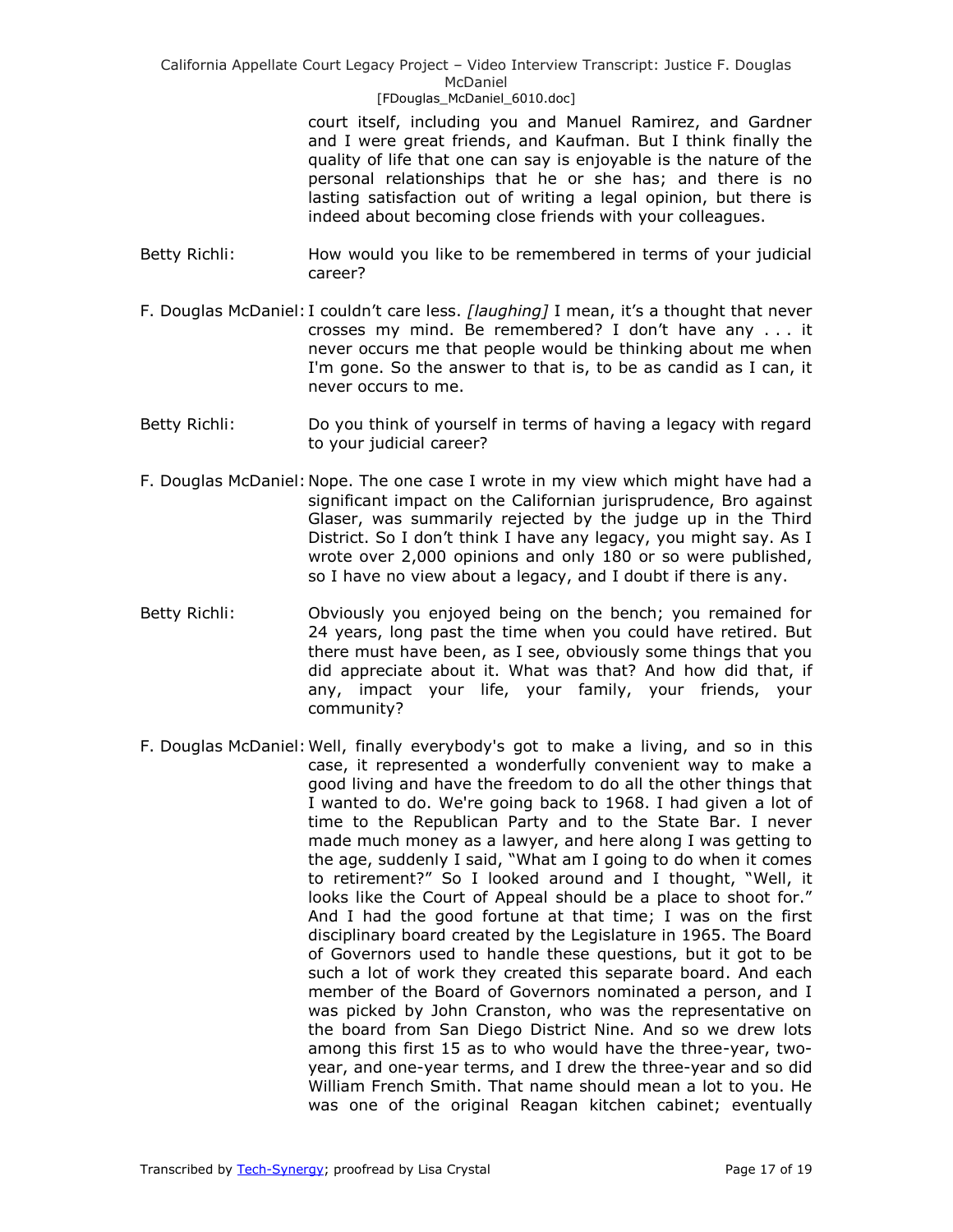court itself, including you and Manuel Ramirez, and Gardner and I were great friends, and Kaufman. But I think finally the quality of life that one can say is enjoyable is the nature of the personal relationships that he or she has; and there is no lasting satisfaction out of writing a legal opinion, but there is indeed about becoming close friends with your colleagues.

- Betty Richli: How would you like to be remembered in terms of your judicial career?
- F. Douglas McDaniel: I couldn't care less. *[laughing]* I mean, it's a thought that never crosses my mind. Be remembered? I don't have any . . . it never occurs me that people would be thinking about me when I'm gone. So the answer to that is, to be as candid as I can, it never occurs to me.
- Betty Richli: Do you think of yourself in terms of having a legacy with regard to your judicial career?
- F. Douglas McDaniel:Nope. The one case I wrote in my view which might have had a significant impact on the Californian jurisprudence, Bro against Glaser, was summarily rejected by the judge up in the Third District. So I don't think I have any legacy, you might say. As I wrote over 2,000 opinions and only 180 or so were published, so I have no view about a legacy, and I doubt if there is any.
- Betty Richli: Obviously you enjoyed being on the bench; you remained for 24 years, long past the time when you could have retired. But there must have been, as I see, obviously some things that you did appreciate about it. What was that? And how did that, if any, impact your life, your family, your friends, your community?
- F. Douglas McDaniel:Well, finally everybody's got to make a living, and so in this case, it represented a wonderfully convenient way to make a good living and have the freedom to do all the other things that I wanted to do. We're going back to 1968. I had given a lot of time to the Republican Party and to the State Bar. I never made much money as a lawyer, and here along I was getting to the age, suddenly I said, "What am I going to do when it comes to retirement?" So I looked around and I thought, "Well, it looks like the Court of Appeal should be a place to shoot for." And I had the good fortune at that time; I was on the first disciplinary board created by the Legislature in 1965. The Board of Governors used to handle these questions, but it got to be such a lot of work they created this separate board. And each member of the Board of Governors nominated a person, and I was picked by John Cranston, who was the representative on the board from San Diego District Nine. And so we drew lots among this first 15 as to who would have the three-year, twoyear, and one-year terms, and I drew the three-year and so did William French Smith. That name should mean a lot to you. He was one of the original Reagan kitchen cabinet; eventually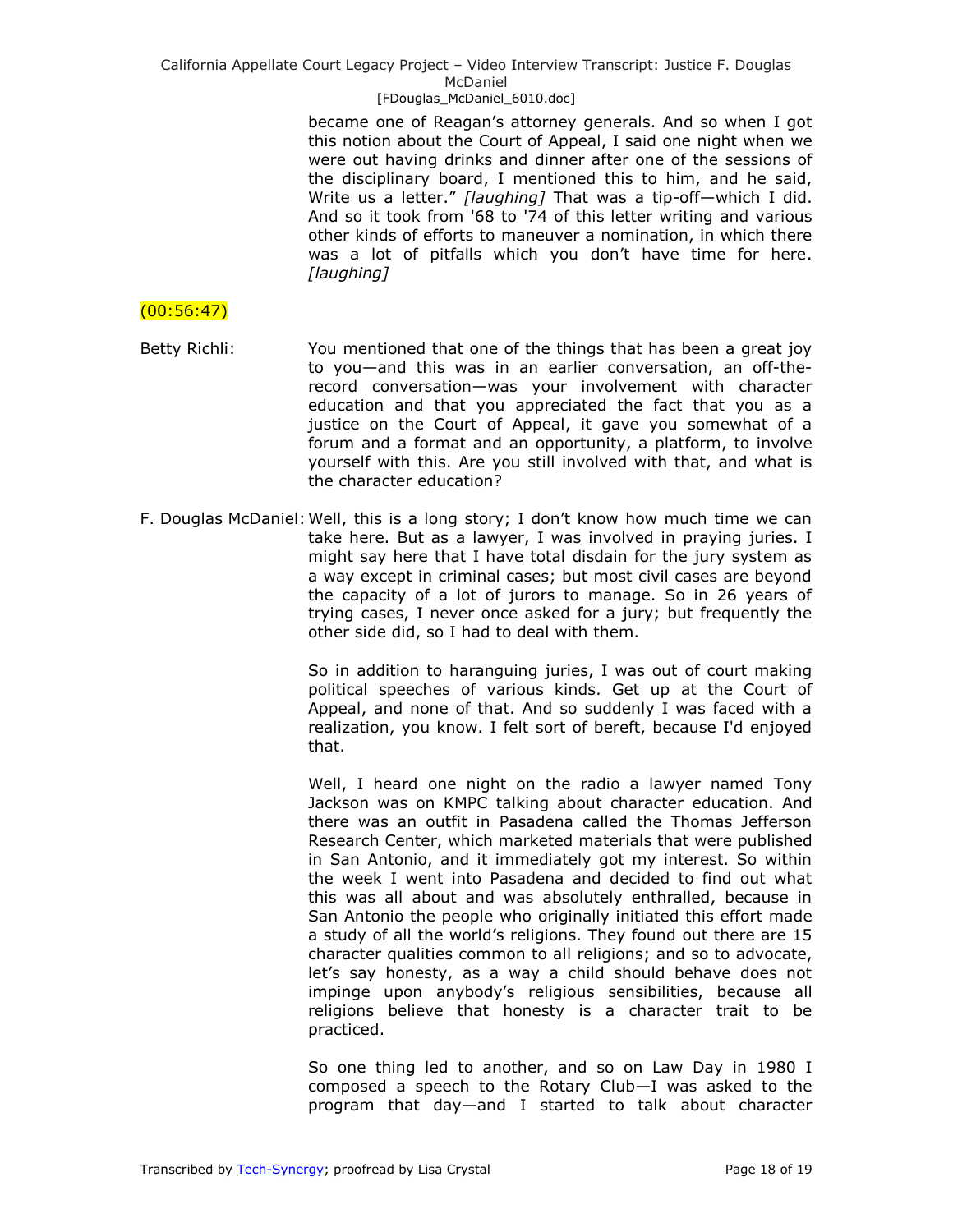became one of Reagan's attorney generals. And so when I got this notion about the Court of Appeal, I said one night when we were out having drinks and dinner after one of the sessions of the disciplinary board, I mentioned this to him, and he said, Write us a letter." [laughing] That was a tip-off-which I did. And so it took from '68 to '74 of this letter writing and various other kinds of efforts to maneuver a nomination, in which there was a lot of pitfalls which you don't have time for here. *[laughing]*

# $(00:56:47)$

Betty Richli: You mentioned that one of the things that has been a great joy to you—and this was in an earlier conversation, an off-therecord conversation—was your involvement with character education and that you appreciated the fact that you as a justice on the Court of Appeal, it gave you somewhat of a forum and a format and an opportunity, a platform, to involve yourself with this. Are you still involved with that, and what is the character education?

F. Douglas McDaniel:Well, this is a long story; I don't know how much time we can take here. But as a lawyer, I was involved in praying juries. I might say here that I have total disdain for the jury system as a way except in criminal cases; but most civil cases are beyond the capacity of a lot of jurors to manage. So in 26 years of trying cases, I never once asked for a jury; but frequently the other side did, so I had to deal with them.

> So in addition to haranguing juries, I was out of court making political speeches of various kinds. Get up at the Court of Appeal, and none of that. And so suddenly I was faced with a realization, you know. I felt sort of bereft, because I'd enjoyed that.

> Well, I heard one night on the radio a lawyer named Tony Jackson was on KMPC talking about character education. And there was an outfit in Pasadena called the Thomas Jefferson Research Center, which marketed materials that were published in San Antonio, and it immediately got my interest. So within the week I went into Pasadena and decided to find out what this was all about and was absolutely enthralled, because in San Antonio the people who originally initiated this effort made a study of all the world's religions. They found out there are 15 character qualities common to all religions; and so to advocate, let's say honesty, as a way a child should behave does not impinge upon anybody's religious sensibilities, because all religions believe that honesty is a character trait to be practiced.

> So one thing led to another, and so on Law Day in 1980 I composed a speech to the Rotary Club—I was asked to the program that day—and I started to talk about character